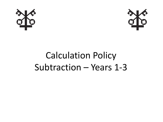



## Calculation Policy Subtraction – Years 1-3